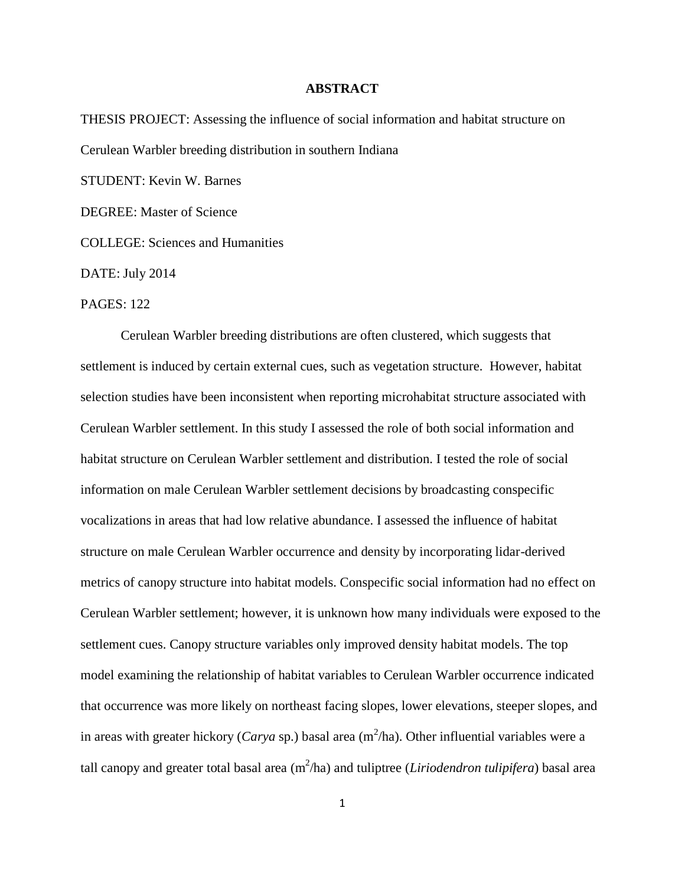## **ABSTRACT**

THESIS PROJECT: Assessing the influence of social information and habitat structure on Cerulean Warbler breeding distribution in southern Indiana STUDENT: Kevin W. Barnes DEGREE: Master of Science

COLLEGE: Sciences and Humanities

DATE: July 2014

## PAGES: 122

Cerulean Warbler breeding distributions are often clustered, which suggests that settlement is induced by certain external cues, such as vegetation structure. However, habitat selection studies have been inconsistent when reporting microhabitat structure associated with Cerulean Warbler settlement. In this study I assessed the role of both social information and habitat structure on Cerulean Warbler settlement and distribution. I tested the role of social information on male Cerulean Warbler settlement decisions by broadcasting conspecific vocalizations in areas that had low relative abundance. I assessed the influence of habitat structure on male Cerulean Warbler occurrence and density by incorporating lidar-derived metrics of canopy structure into habitat models. Conspecific social information had no effect on Cerulean Warbler settlement; however, it is unknown how many individuals were exposed to the settlement cues. Canopy structure variables only improved density habitat models. The top model examining the relationship of habitat variables to Cerulean Warbler occurrence indicated that occurrence was more likely on northeast facing slopes, lower elevations, steeper slopes, and in areas with greater hickory (*Carya* sp.) basal area (m<sup>2</sup>/ha). Other influential variables were a tall canopy and greater total basal area (m<sup>2</sup>/ha) and tuliptree (*Liriodendron tulipifera*) basal area